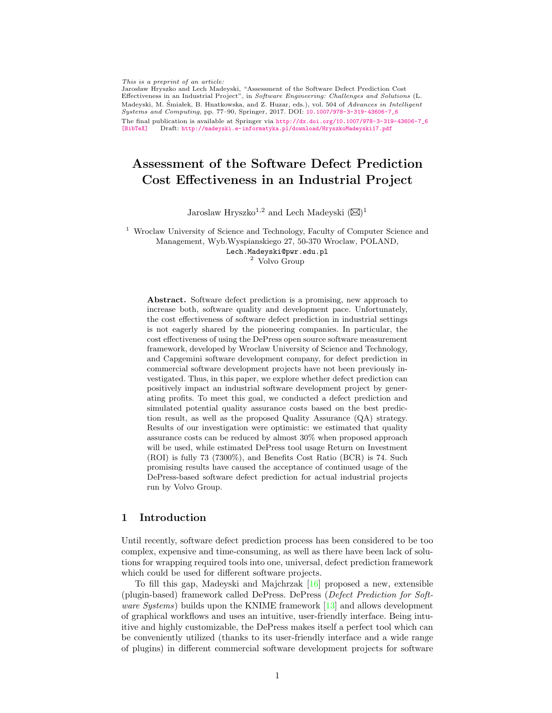This is a preprint of an article:

Jarosław Hryszko and Lech Madeyski, "Assessment of the Software Defect Prediction Cost<br>Effectiveness in an Industrial Project", in Software Engineering: Challenges and Solutions (L. Madeyski, M. Śmiałek, B. Hnatkowska, and Z. Huzar, eds.), vol. 504 of Advances in Intelligent Systems and Computing, pp. 77–90, Springer, 2017. DOI: [10.1007/978-3-319-43606-7\\_6](http://dx.doi.org/10.1007/978-3-319-43606-7_6) The final publication is available at Springer via [http://dx.doi.org/10.1007/978-3-319-43606-7\\_6](http://dx.doi.org/10.1007/978-3-319-43606-7_6)<br>
[BibTeX] Draft: http://madeyski.e-informatyka.pl/download/HryszkoMadeyski17.pdf Draft: <http://madeyski.e-informatyka.pl/download/HryszkoMadeyski17.pdf>

# Assessment of the Software Defect Prediction Cost Effectiveness in an Industrial Project

Jaroslaw Hryszko<sup>1,2</sup> and Lech Madeyski  $(\boxtimes)^1$ 

<sup>1</sup> Wroclaw University of Science and Technology, Faculty of Computer Science and Management, Wyb.Wyspianskiego 27, 50-370 Wroclaw, POLAND, Lech.Madeyski@pwr.edu.pl <sup>2</sup> Volvo Group

Abstract. Software defect prediction is a promising, new approach to increase both, software quality and development pace. Unfortunately, the cost effectiveness of software defect prediction in industrial settings is not eagerly shared by the pioneering companies. In particular, the cost effectiveness of using the DePress open source software measurement framework, developed by Wroclaw University of Science and Technology, and Capgemini software development company, for defect prediction in commercial software development projects have not been previously investigated. Thus, in this paper, we explore whether defect prediction can positively impact an industrial software development project by generating profits. To meet this goal, we conducted a defect prediction and simulated potential quality assurance costs based on the best prediction result, as well as the proposed Quality Assurance (QA) strategy. Results of our investigation were optimistic: we estimated that quality assurance costs can be reduced by almost 30% when proposed approach will be used, while estimated DePress tool usage Return on Investment (ROI) is fully 73 (7300%), and Benefits Cost Ratio (BCR) is 74. Such promising results have caused the acceptance of continued usage of the DePress-based software defect prediction for actual industrial projects run by Volvo Group.

## 1 Introduction

Until recently, software defect prediction process has been considered to be too complex, expensive and time-consuming, as well as there have been lack of solutions for wrapping required tools into one, universal, defect prediction framework which could be used for different software projects.

To fill this gap, Madeyski and Majchrzak [\[16\]](#page-11-0) proposed a new, extensible (plugin-based) framework called DePress. DePress (Defect Prediction for Soft-ware Systems) builds upon the KNIME framework [\[13\]](#page-11-1) and allows development of graphical workflows and uses an intuitive, user-friendly interface. Being intuitive and highly customizable, the DePress makes itself a perfect tool which can be conveniently utilized (thanks to its user-friendly interface and a wide range of plugins) in different commercial software development projects for software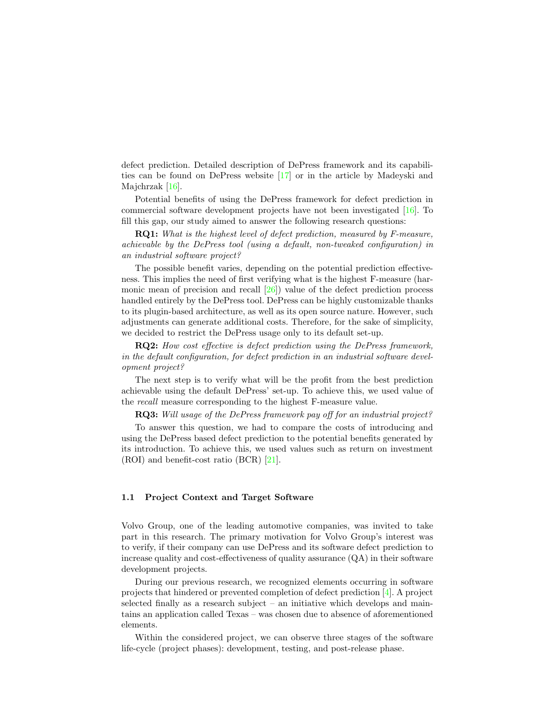defect prediction. Detailed description of DePress framework and its capabilities can be found on DePress website [\[17\]](#page-11-2) or in the article by Madeyski and Majchrzak [\[16\]](#page-11-0).

Potential benefits of using the DePress framework for defect prediction in commercial software development projects have not been investigated [\[16\]](#page-11-0). To fill this gap, our study aimed to answer the following research questions:

RQ1: What is the highest level of defect prediction, measured by F-measure, achievable by the DePress tool (using a default, non-tweaked configuration) in an industrial software project?

The possible benefit varies, depending on the potential prediction effectiveness. This implies the need of first verifying what is the highest F-measure (harmonic mean of precision and recall [\[26\]](#page-12-0)) value of the defect prediction process handled entirely by the DePress tool. DePress can be highly customizable thanks to its plugin-based architecture, as well as its open source nature. However, such adjustments can generate additional costs. Therefore, for the sake of simplicity, we decided to restrict the DePress usage only to its default set-up.

RQ2: How cost effective is defect prediction using the DePress framework, in the default configuration, for defect prediction in an industrial software development project?

The next step is to verify what will be the profit from the best prediction achievable using the default DePress' set-up. To achieve this, we used value of the recall measure corresponding to the highest F-measure value.

RQ3: Will usage of the DePress framework pay off for an industrial project?

To answer this question, we had to compare the costs of introducing and using the DePress based defect prediction to the potential benefits generated by its introduction. To achieve this, we used values such as return on investment (ROI) and benefit-cost ratio (BCR) [\[21\]](#page-12-1).

#### 1.1 Project Context and Target Software

Volvo Group, one of the leading automotive companies, was invited to take part in this research. The primary motivation for Volvo Group's interest was to verify, if their company can use DePress and its software defect prediction to increase quality and cost-effectiveness of quality assurance (QA) in their software development projects.

During our previous research, we recognized elements occurring in software projects that hindered or prevented completion of defect prediction [\[4\]](#page-10-0). A project selected finally as a research subject – an initiative which develops and maintains an application called Texas – was chosen due to absence of aforementioned elements.

Within the considered project, we can observe three stages of the software life-cycle (project phases): development, testing, and post-release phase.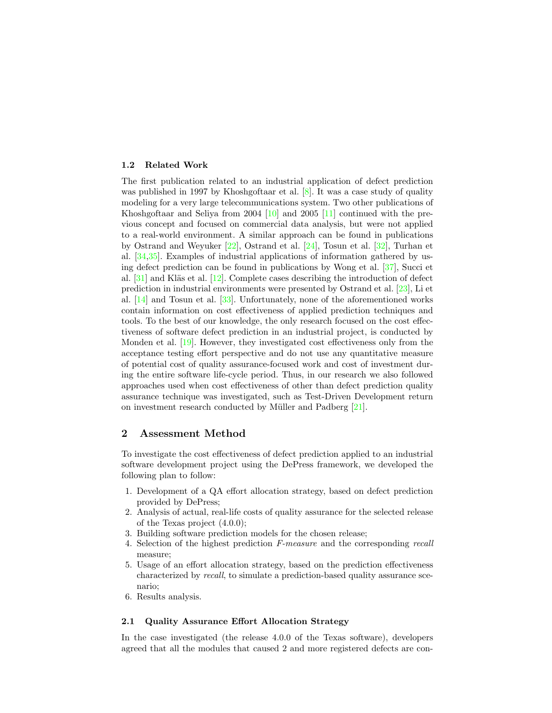## 1.2 Related Work

The first publication related to an industrial application of defect prediction was published in 1997 by Khoshgoftaar et al. [\[8\]](#page-11-3). It was a case study of quality modeling for a very large telecommunications system. Two other publications of Khoshgoftaar and Seliya from 2004 [\[10\]](#page-11-4) and 2005 [\[11\]](#page-11-5) continued with the previous concept and focused on commercial data analysis, but were not applied to a real-world environment. A similar approach can be found in publications by Ostrand and Weyuker [\[22\]](#page-12-2), Ostrand et al. [\[24\]](#page-12-3), Tosun et al. [\[32\]](#page-12-4), Turhan et al. [\[34,](#page-12-5)[35\]](#page-12-6). Examples of industrial applications of information gathered by using defect prediction can be found in publications by Wong et al. [\[37\]](#page-12-7), Succi et al.  $[31]$  and Kläs et al.  $[12]$ . Complete cases describing the introduction of defect prediction in industrial environments were presented by Ostrand et al. [\[23\]](#page-12-9), Li et al. [\[14\]](#page-11-7) and Tosun et al. [\[33\]](#page-12-10). Unfortunately, none of the aforementioned works contain information on cost effectiveness of applied prediction techniques and tools. To the best of our knowledge, the only research focused on the cost effectiveness of software defect prediction in an industrial project, is conducted by Monden et al. [\[19\]](#page-11-8). However, they investigated cost effectiveness only from the acceptance testing effort perspective and do not use any quantitative measure of potential cost of quality assurance-focused work and cost of investment during the entire software life-cycle period. Thus, in our research we also followed approaches used when cost effectiveness of other than defect prediction quality assurance technique was investigated, such as Test-Driven Development return on investment research conducted by Müller and Padberg [\[21\]](#page-12-1).

## 2 Assessment Method

To investigate the cost effectiveness of defect prediction applied to an industrial software development project using the DePress framework, we developed the following plan to follow:

- 1. Development of a QA effort allocation strategy, based on defect prediction provided by DePress;
- 2. Analysis of actual, real-life costs of quality assurance for the selected release of the Texas project (4.0.0);
- 3. Building software prediction models for the chosen release;
- 4. Selection of the highest prediction F-measure and the corresponding recall measure;
- 5. Usage of an effort allocation strategy, based on the prediction effectiveness characterized by recall, to simulate a prediction-based quality assurance scenario;
- 6. Results analysis.

#### <span id="page-2-0"></span>2.1 Quality Assurance Effort Allocation Strategy

In the case investigated (the release 4.0.0 of the Texas software), developers agreed that all the modules that caused 2 and more registered defects are con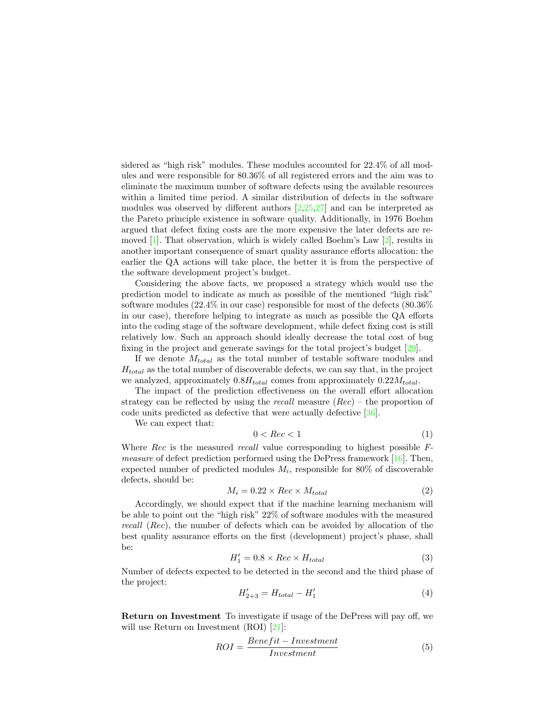sidered as "high risk" modules. These modules accounted for 22.4% of all modules and were responsible for 80.36% of all registered errors and the aim was to eliminate the maximum number of software defects using the available resources within a limited time period. A similar distribution of defects in the software modules was observed by different authors  $[2,25,27]$  $[2,25,27]$  $[2,25,27]$  and can be interpreted as the Pareto principle existence in software quality. Additionally, in 1976 Boehm argued that defect fixing costs are the more expensive the later defects are removed [\[1\]](#page-10-2). That observation, which is widely called Boehm's Law [\[2\]](#page-10-1), results in another important consequence of smart quality assurance efforts allocation: the earlier the QA actions will take place, the better it is from the perspective of the software development project's budget.

Considering the above facts, we proposed a strategy which would use the prediction model to indicate as much as possible of the mentioned "high risk" software modules (22.4% in our case) responsible for most of the defects (80.36% in our case), therefore helping to integrate as much as possible the QA efforts into the coding stage of the software development, while defect fixing cost is still relatively low. Such an approach should ideally decrease the total cost of bug fixing in the project and generate savings for the total project's budget [\[29\]](#page-12-13).

If we denote  $M_{total}$  as the total number of testable software modules and  $H_{total}$  as the total number of discoverable defects, we can say that, in the project we analyzed, approximately  $0.8H_{total}$  comes from approximately  $0.22M_{total}$ .

The impact of the prediction effectiveness on the overall effort allocation strategy can be reflected by using the *recall* measure  $(Rec)$  – the proportion of code units predicted as defective that were actually defective [\[36\]](#page-12-14).

We can expect that:

$$
0 < Rec < 1\tag{1}
$$

Where Rec is the measured recall value corresponding to highest possible Fmeasure of defect prediction performed using the DePress framework [\[16\]](#page-11-0). Then, expected number of predicted modules  $M_i$ , responsible for 80% of discoverable defects, should be:

$$
M_i = 0.22 \times Rec \times M_{total}
$$
 (2)

Accordingly, we should expect that if the machine learning mechanism will be able to point out the "high risk" 22% of software modules with the measured recall (Rec), the number of defects which can be avoided by allocation of the best quality assurance efforts on the first (development) project's phase, shall be:

<span id="page-3-0"></span>
$$
H_1' = 0.8 \times Rec \times H_{total}
$$
\n(3)

Number of defects expected to be detected in the second and the third phase of the project:

<span id="page-3-1"></span>
$$
H'_{2+3} = H_{total} - H'_{1}
$$
 (4)

Return on Investment To investigate if usage of the DePress will pay off, we will use Return on Investment (ROI) [\[21\]](#page-12-1):

<span id="page-3-2"></span>
$$
ROI = \frac{Benefit - Investment}{Investment}
$$
 (5)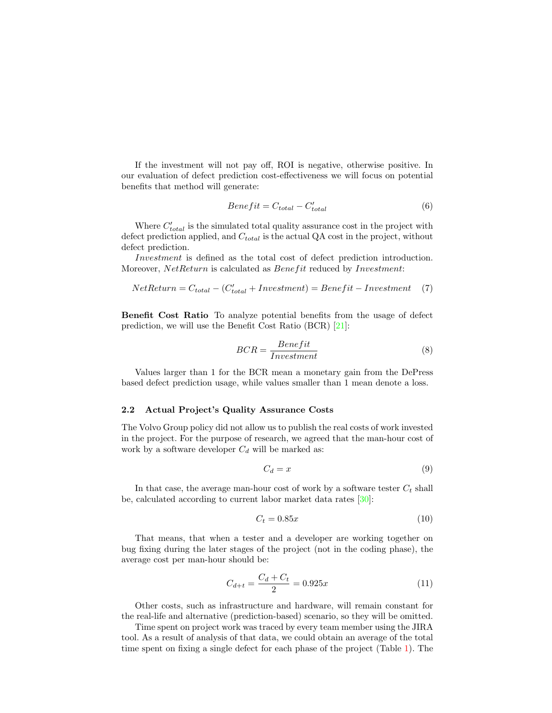If the investment will not pay off, ROI is negative, otherwise positive. In our evaluation of defect prediction cost-effectiveness we will focus on potential benefits that method will generate:

<span id="page-4-1"></span>
$$
Benefit = C_{total} - C'_{total}
$$
\n<sup>(6)</sup>

Where  $C'_{total}$  is the simulated total quality assurance cost in the project with defect prediction applied, and  $C_{total}$  is the actual QA cost in the project, without defect prediction.

Investment is defined as the total cost of defect prediction introduction. Moreover,  $NetReturn$  is calculated as  $Benefit$  reduced by  $Investment$ :

<span id="page-4-2"></span>
$$
NetReturn = C_{total} - (C'_{total} + Investment) = Benefit - Investment \quad (7)
$$

Benefit Cost Ratio To analyze potential benefits from the usage of defect prediction, we will use the Benefit Cost Ratio (BCR) [\[21\]](#page-12-1):

<span id="page-4-0"></span>
$$
BCR = \frac{Benefit}{Investment}
$$
 (8)

Values larger than 1 for the BCR mean a monetary gain from the DePress based defect prediction usage, while values smaller than 1 mean denote a loss.

#### 2.2 Actual Project's Quality Assurance Costs

The Volvo Group policy did not allow us to publish the real costs of work invested in the project. For the purpose of research, we agreed that the man-hour cost of work by a software developer  $C_d$  will be marked as:

$$
C_d = x \tag{9}
$$

In that case, the average man-hour cost of work by a software tester  $C_t$  shall be, calculated according to current labor market data rates [\[30\]](#page-12-15):

$$
C_t = 0.85x\tag{10}
$$

That means, that when a tester and a developer are working together on bug fixing during the later stages of the project (not in the coding phase), the average cost per man-hour should be:

$$
C_{d+t} = \frac{C_d + C_t}{2} = 0.925x\tag{11}
$$

Other costs, such as infrastructure and hardware, will remain constant for the real-life and alternative (prediction-based) scenario, so they will be omitted.

Time spent on project work was traced by every team member using the JIRA tool. As a result of analysis of that data, we could obtain an average of the total time spent on fixing a single defect for each phase of the project (Table [1\)](#page-5-0). The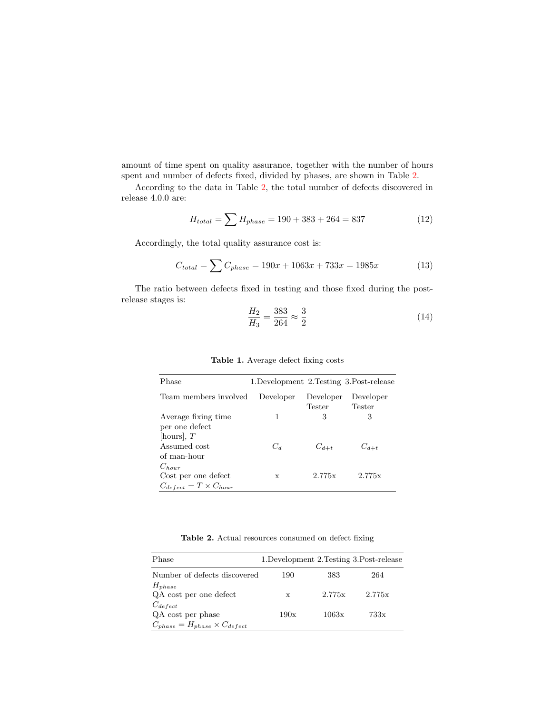amount of time spent on quality assurance, together with the number of hours spent and number of defects fixed, divided by phases, are shown in Table [2.](#page-5-1)

According to the data in Table [2,](#page-5-1) the total number of defects discovered in release 4.0.0 are:

<span id="page-5-2"></span>
$$
H_{total} = \sum H_{phase} = 190 + 383 + 264 = 837
$$
 (12)

Accordingly, the total quality assurance cost is:

$$
C_{total} = \sum C_{phase} = 190x + 1063x + 733x = 1985x \tag{13}
$$

The ratio between defects fixed in testing and those fixed during the postrelease stages is:

<span id="page-5-3"></span>
$$
\frac{H_2}{H_3} = \frac{383}{264} \approx \frac{3}{2}
$$
\n(14)

| Phase                            | 1. Development 2. Testing 3. Post-release |           |           |
|----------------------------------|-------------------------------------------|-----------|-----------|
| Team members involved            | Developer                                 | Developer | Developer |
|                                  |                                           | Tester    | Tester    |
| Average fixing time.             |                                           | 3         | 3         |
| per one defect                   |                                           |           |           |
| [hours], $T$                     |                                           |           |           |
| Assumed cost                     | $C_d$                                     | $C_{d+t}$ | $C_{d+t}$ |
| of man-hour                      |                                           |           |           |
| $C_{hour}$                       |                                           |           |           |
| Cost per one defect              | X                                         | 2.775x    | 2.775x    |
| $C_{defect} = T \times C_{hour}$ |                                           |           |           |
|                                  |                                           |           |           |

<span id="page-5-0"></span>Table 1. Average defect fixing costs

<span id="page-5-1"></span>Table 2. Actual resources consumed on defect fixing

| Phase                                     | 1. Development 2. Testing 3. Post-release |        |        |
|-------------------------------------------|-------------------------------------------|--------|--------|
| Number of defects discovered              | 190                                       | 383    | 264    |
| $H_{phase}$                               |                                           |        |        |
| QA cost per one defect                    | X                                         | 2.775x | 2.775x |
| $C_{defect}$                              |                                           |        |        |
| QA cost per phase                         | 190x                                      | 1063x  | 733x   |
| $C_{phase} = H_{phase} \times C_{defect}$ |                                           |        |        |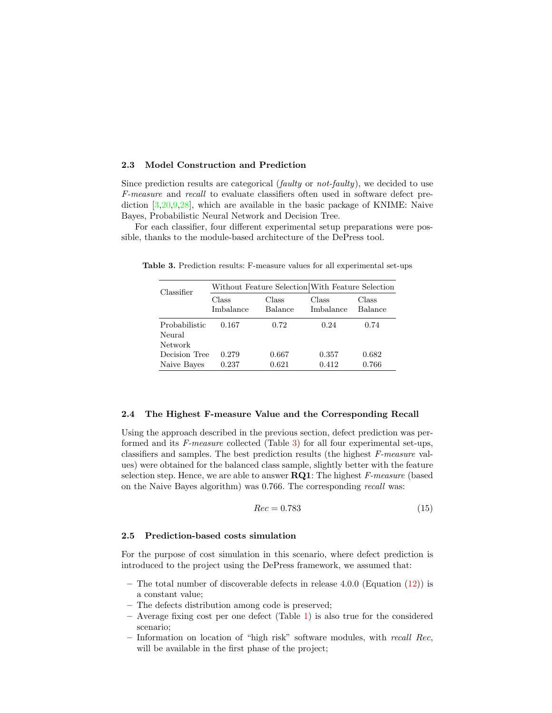#### 2.3 Model Construction and Prediction

Since prediction results are categorical (faulty or not-faulty), we decided to use F-measure and recall to evaluate classifiers often used in software defect prediction [\[3,](#page-10-3)[20](#page-11-9)[,9,](#page-11-10)[28\]](#page-12-16), which are available in the basic package of KNIME: Naive Bayes, Probabilistic Neural Network and Decision Tree.

For each classifier, four different experimental setup preparations were possible, thanks to the module-based architecture of the DePress tool.

<span id="page-6-0"></span>

| Classifier                                | Without Feature Selection With Feature Selection |                  |                    |                  |
|-------------------------------------------|--------------------------------------------------|------------------|--------------------|------------------|
|                                           | Class<br>Imbalance                               | Class<br>Balance | Class<br>Imbalance | Class<br>Balance |
| Probabilistic<br>Neural<br><b>Network</b> | 0.167                                            | 0.72             | 0.24               | 0.74             |
| Decision Tree<br>Naive Bayes              | 0.279<br>0.237                                   | 0.667<br>0.621   | 0.357<br>0.412     | 0.682<br>0.766   |

Table 3. Prediction results: F-measure values for all experimental set-ups

#### <span id="page-6-2"></span>2.4 The Highest F-measure Value and the Corresponding Recall

Using the approach described in the previous section, defect prediction was performed and its F-measure collected (Table [3\)](#page-6-0) for all four experimental set-ups, classifiers and samples. The best prediction results (the highest F-measure values) were obtained for the balanced class sample, slightly better with the feature selection step. Hence, we are able to answer  $\mathbf{RQ1}$ : The highest F-measure (based on the Naive Bayes algorithm) was 0.766. The corresponding recall was:

<span id="page-6-1"></span>
$$
Rec = 0.783\tag{15}
$$

#### 2.5 Prediction-based costs simulation

For the purpose of cost simulation in this scenario, where defect prediction is introduced to the project using the DePress framework, we assumed that:

- The total number of discoverable defects in release 4.0.0 (Equation  $(12)$ ) is a constant value;
- The defects distribution among code is preserved;
- Average fixing cost per one defect (Table [1\)](#page-5-0) is also true for the considered scenario;
- Information on location of "high risk" software modules, with recall Rec, will be available in the first phase of the project;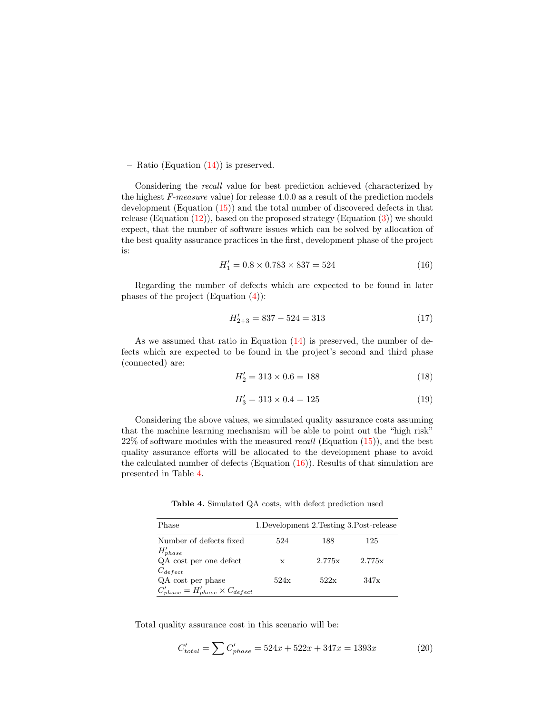#### – Ratio (Equation [\(14\)](#page-5-3)) is preserved.

Considering the recall value for best prediction achieved (characterized by the highest F-measure value) for release 4.0.0 as a result of the prediction models development (Equation [\(15\)](#page-6-1)) and the total number of discovered defects in that release (Equation  $(12)$ ), based on the proposed strategy (Equation  $(3)$ ) we should expect, that the number of software issues which can be solved by allocation of the best quality assurance practices in the first, development phase of the project is:

<span id="page-7-0"></span>
$$
H_1' = 0.8 \times 0.783 \times 837 = 524 \tag{16}
$$

Regarding the number of defects which are expected to be found in later phases of the project (Equation [\(4\)](#page-3-1)):

$$
H'_{2+3} = 837 - 524 = 313\tag{17}
$$

As we assumed that ratio in Equation [\(14\)](#page-5-3) is preserved, the number of defects which are expected to be found in the project's second and third phase (connected) are:

$$
H_2' = 313 \times 0.6 = 188\tag{18}
$$

$$
H_3' = 313 \times 0.4 = 125 \tag{19}
$$

Considering the above values, we simulated quality assurance costs assuming that the machine learning mechanism will be able to point out the "high risk"  $22\%$  of software modules with the measured *recall* (Equation  $(15)$ ), and the best quality assurance efforts will be allocated to the development phase to avoid the calculated number of defects (Equation  $(16)$ ). Results of that simulation are presented in Table [4.](#page-7-1)

<span id="page-7-1"></span>Table 4. Simulated QA costs, with defect prediction used

| Phase                                       | 1. Development 2. Testing 3. Post-release |        |        |
|---------------------------------------------|-------------------------------------------|--------|--------|
| Number of defects fixed                     | 524                                       | 188    | 125    |
| $H'_{phase}$<br>QA cost per one defect      | X                                         | 2.775x | 2.775x |
| $C_{defect}$                                |                                           |        |        |
| QA cost per phase                           | 524x                                      | 522x   | 347x   |
| $C'_{phase} = H'_{phase} \times C_{defect}$ |                                           |        |        |

Total quality assurance cost in this scenario will be:

$$
C'_{total} = \sum C'_{phase} = 524x + 522x + 347x = 1393x \tag{20}
$$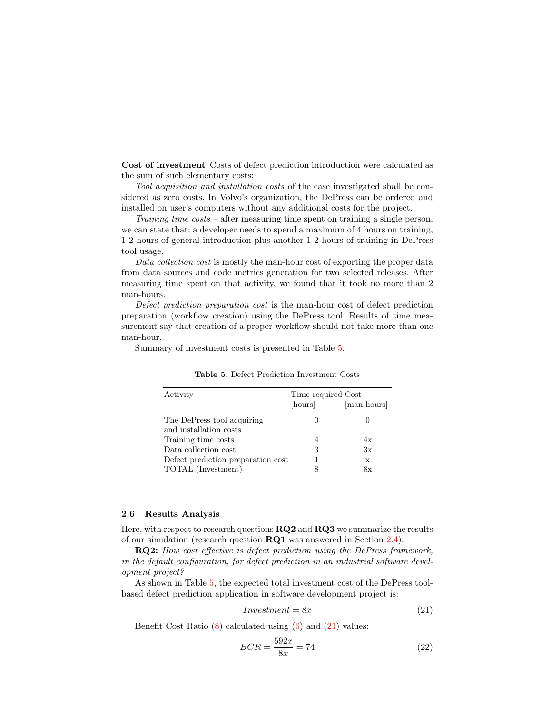Cost of investment Costs of defect prediction introduction were calculated as the sum of such elementary costs:

Tool acquisition and installation costs of the case investigated shall be considered as zero costs. In Volvo's organization, the DePress can be ordered and installed on user's computers without any additional costs for the project.

Training time costs – after measuring time spent on training a single person, we can state that: a developer needs to spend a maximum of 4 hours on training, 1-2 hours of general introduction plus another 1-2 hours of training in DePress tool usage.

Data collection cost is mostly the man-hour cost of exporting the proper data from data sources and code metrics generation for two selected releases. After measuring time spent on that activity, we found that it took no more than 2 man-hours.

Defect prediction preparation cost is the man-hour cost of defect prediction preparation (workflow creation) using the DePress tool. Results of time measurement say that creation of a proper workflow should not take more than one man-hour.

Summary of investment costs is presented in Table [5.](#page-8-0)

| Activity                           | Time required Cost |             |
|------------------------------------|--------------------|-------------|
|                                    | [hours]            | [man-hours] |
| The DePress tool acquiring         |                    |             |
| and installation costs             |                    |             |
| Training time costs                | 4                  | 4x          |
| Data collection cost               | З                  | 3x          |
| Defect prediction preparation cost |                    | X           |
| TOTAL (Investment)                 | 8                  | 8x          |

<span id="page-8-0"></span>Table 5. Defect Prediction Investment Costs

#### 2.6 Results Analysis

Here, with respect to research questions RQ2 and RQ3 we summarize the results of our simulation (research question RQ1 was answered in Section [2.4\)](#page-6-2).

RQ2: How cost effective is defect prediction using the DePress framework, in the default configuration, for defect prediction in an industrial software development project?

As shown in Table [5,](#page-8-0) the expected total investment cost of the DePress toolbased defect prediction application in software development project is:

<span id="page-8-1"></span>
$$
Investment = 8x \tag{21}
$$

Benefit Cost Ratio  $(8)$  calculated using  $(6)$  and  $(21)$  values:

$$
BCR = \frac{592x}{8x} = 74\tag{22}
$$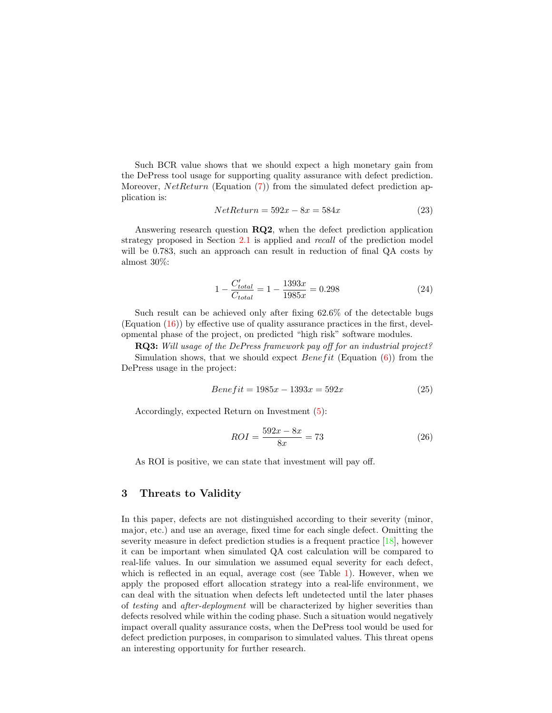Such BCR value shows that we should expect a high monetary gain from the DePress tool usage for supporting quality assurance with defect prediction. Moreover,  $NetReturn$  (Equation  $(7)$ ) from the simulated defect prediction application is:

$$
NetReturn = 592x - 8x = 584x \tag{23}
$$

Answering research question RQ2, when the defect prediction application strategy proposed in Section [2.1](#page-2-0) is applied and recall of the prediction model will be 0.783, such an approach can result in reduction of final QA costs by almost 30%:

$$
1 - \frac{C'_{total}}{C_{total}} = 1 - \frac{1393x}{1985x} = 0.298
$$
 (24)

Such result can be achieved only after fixing 62.6% of the detectable bugs (Equation [\(16\)](#page-7-0)) by effective use of quality assurance practices in the first, developmental phase of the project, on predicted "high risk" software modules.

RQ3: Will usage of the DePress framework pay off for an industrial project? Simulation shows, that we should expect  $Benefit$  (Equation [\(6\)](#page-4-1)) from the DePress usage in the project:

$$
Benefit = 1985x - 1393x = 592x \tag{25}
$$

Accordingly, expected Return on Investment [\(5\)](#page-3-2):

$$
ROI = \frac{592x - 8x}{8x} = 73\tag{26}
$$

As ROI is positive, we can state that investment will pay off.

### 3 Threats to Validity

In this paper, defects are not distinguished according to their severity (minor, major, etc.) and use an average, fixed time for each single defect. Omitting the severity measure in defect prediction studies is a frequent practice [\[18\]](#page-11-11), however it can be important when simulated QA cost calculation will be compared to real-life values. In our simulation we assumed equal severity for each defect, which is reflected in an equal, average cost (see Table [1\)](#page-5-0). However, when we apply the proposed effort allocation strategy into a real-life environment, we can deal with the situation when defects left undetected until the later phases of testing and after-deployment will be characterized by higher severities than defects resolved while within the coding phase. Such a situation would negatively impact overall quality assurance costs, when the DePress tool would be used for defect prediction purposes, in comparison to simulated values. This threat opens an interesting opportunity for further research.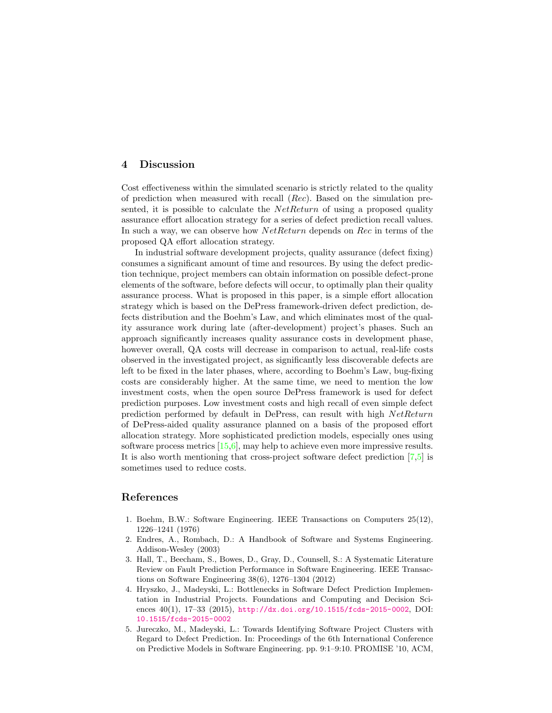## 4 Discussion

Cost effectiveness within the simulated scenario is strictly related to the quality of prediction when measured with recall  $(Rec)$ . Based on the simulation presented, it is possible to calculate the *NetReturn* of using a proposed quality assurance effort allocation strategy for a series of defect prediction recall values. In such a way, we can observe how  $NetReturn$  depends on Rec in terms of the proposed QA effort allocation strategy.

In industrial software development projects, quality assurance (defect fixing) consumes a significant amount of time and resources. By using the defect prediction technique, project members can obtain information on possible defect-prone elements of the software, before defects will occur, to optimally plan their quality assurance process. What is proposed in this paper, is a simple effort allocation strategy which is based on the DePress framework-driven defect prediction, defects distribution and the Boehm's Law, and which eliminates most of the quality assurance work during late (after-development) project's phases. Such an approach significantly increases quality assurance costs in development phase, however overall, QA costs will decrease in comparison to actual, real-life costs observed in the investigated project, as significantly less discoverable defects are left to be fixed in the later phases, where, according to Boehm's Law, bug-fixing costs are considerably higher. At the same time, we need to mention the low investment costs, when the open source DePress framework is used for defect prediction purposes. Low investment costs and high recall of even simple defect prediction performed by default in DePress, can result with high NetReturn of DePress-aided quality assurance planned on a basis of the proposed effort allocation strategy. More sophisticated prediction models, especially ones using software process metrics  $[15,6]$  $[15,6]$ , may help to achieve even more impressive results. It is also worth mentioning that cross-project software defect prediction [\[7,](#page-11-14)[5\]](#page-10-4) is sometimes used to reduce costs.

## References

- <span id="page-10-2"></span>1. Boehm, B.W.: Software Engineering. IEEE Transactions on Computers 25(12), 1226–1241 (1976)
- <span id="page-10-1"></span>2. Endres, A., Rombach, D.: A Handbook of Software and Systems Engineering. Addison-Wesley (2003)
- <span id="page-10-3"></span>3. Hall, T., Beecham, S., Bowes, D., Gray, D., Counsell, S.: A Systematic Literature Review on Fault Prediction Performance in Software Engineering. IEEE Transactions on Software Engineering 38(6), 1276–1304 (2012)
- <span id="page-10-0"></span>4. Hryszko, J., Madeyski, L.: Bottlenecks in Software Defect Prediction Implementation in Industrial Projects. Foundations and Computing and Decision Sciences 40(1), 17–33 (2015), <http://dx.doi.org/10.1515/fcds-2015-0002>, DOI: [10.1515/fcds-2015-0002](http://dx.doi.org/10.1515/fcds-2015-0002)
- <span id="page-10-4"></span>5. Jureczko, M., Madeyski, L.: Towards Identifying Software Project Clusters with Regard to Defect Prediction. In: Proceedings of the 6th International Conference on Predictive Models in Software Engineering. pp. 9:1–9:10. PROMISE '10, ACM,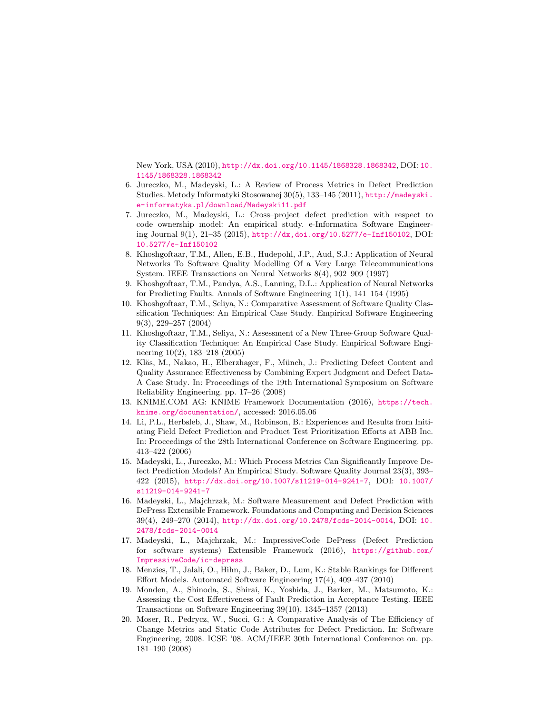New York, USA (2010), <http://dx.doi.org/10.1145/1868328.1868342>, DOI: [10.](http://dx.doi.org/10.1145/1868328.1868342) [1145/1868328.1868342](http://dx.doi.org/10.1145/1868328.1868342)

- <span id="page-11-13"></span>6. Jureczko, M., Madeyski, L.: A Review of Process Metrics in Defect Prediction Studies. Metody Informatyki Stosowanej 30(5), 133–145 (2011), [http://madeyski.](http://madeyski.e-informatyka.pl/download/Madeyski11.pdf) [e-informatyka.pl/download/Madeyski11.pdf](http://madeyski.e-informatyka.pl/download/Madeyski11.pdf)
- <span id="page-11-14"></span>7. Jureczko, M., Madeyski, L.: Cross–project defect prediction with respect to code ownership model: An empirical study. e-Informatica Software Engineering Journal 9(1), 21–35 (2015), <http://dx,doi.org/10.5277/e-Inf150102>, DOI: [10.5277/e-Inf150102](http://dx.doi.org/10.5277/e-Inf150102)
- <span id="page-11-3"></span>8. Khoshgoftaar, T.M., Allen, E.B., Hudepohl, J.P., Aud, S.J.: Application of Neural Networks To Software Quality Modelling Of a Very Large Telecommunications System. IEEE Transactions on Neural Networks 8(4), 902–909 (1997)
- <span id="page-11-10"></span>9. Khoshgoftaar, T.M., Pandya, A.S., Lanning, D.L.: Application of Neural Networks for Predicting Faults. Annals of Software Engineering 1(1), 141–154 (1995)
- <span id="page-11-4"></span>10. Khoshgoftaar, T.M., Seliya, N.: Comparative Assessment of Software Quality Classification Techniques: An Empirical Case Study. Empirical Software Engineering 9(3), 229–257 (2004)
- <span id="page-11-5"></span>11. Khoshgoftaar, T.M., Seliya, N.: Assessment of a New Three-Group Software Quality Classification Technique: An Empirical Case Study. Empirical Software Engineering 10(2), 183–218 (2005)
- <span id="page-11-6"></span>12. Kl¨as, M., Nakao, H., Elberzhager, F., M¨unch, J.: Predicting Defect Content and Quality Assurance Effectiveness by Combining Expert Judgment and Defect Data-A Case Study. In: Proceedings of the 19th International Symposium on Software Reliability Engineering. pp. 17–26 (2008)
- <span id="page-11-1"></span>13. KNIME.COM AG: KNIME Framework Documentation (2016), [https://tech.](https://tech.knime.org/documentation/) [knime.org/documentation/](https://tech.knime.org/documentation/), accessed: 2016.05.06
- <span id="page-11-7"></span>14. Li, P.L., Herbsleb, J., Shaw, M., Robinson, B.: Experiences and Results from Initiating Field Defect Prediction and Product Test Prioritization Efforts at ABB Inc. In: Proceedings of the 28th International Conference on Software Engineering. pp. 413–422 (2006)
- <span id="page-11-12"></span>15. Madeyski, L., Jureczko, M.: Which Process Metrics Can Significantly Improve Defect Prediction Models? An Empirical Study. Software Quality Journal 23(3), 393– 422 (2015), <http://dx.doi.org/10.1007/s11219-014-9241-7>, DOI: [10.1007/](http://dx.doi.org/10.1007/s11219-014-9241-7) [s11219-014-9241-7](http://dx.doi.org/10.1007/s11219-014-9241-7)
- <span id="page-11-0"></span>16. Madeyski, L., Majchrzak, M.: Software Measurement and Defect Prediction with DePress Extensible Framework. Foundations and Computing and Decision Sciences 39(4), 249–270 (2014), <http://dx.doi.org/10.2478/fcds-2014-0014>, DOI: [10.](http://dx.doi.org/10.2478/fcds-2014-0014) [2478/fcds-2014-0014](http://dx.doi.org/10.2478/fcds-2014-0014)
- <span id="page-11-2"></span>17. Madeyski, L., Majchrzak, M.: ImpressiveCode DePress (Defect Prediction for software systems) Extensible Framework (2016), [https://github.com/](https://github.com/ImpressiveCode/ic-depress) [ImpressiveCode/ic-depress](https://github.com/ImpressiveCode/ic-depress)
- <span id="page-11-11"></span>18. Menzies, T., Jalali, O., Hihn, J., Baker, D., Lum, K.: Stable Rankings for Different Effort Models. Automated Software Engineering 17(4), 409–437 (2010)
- <span id="page-11-8"></span>19. Monden, A., Shinoda, S., Shirai, K., Yoshida, J., Barker, M., Matsumoto, K.: Assessing the Cost Effectiveness of Fault Prediction in Acceptance Testing. IEEE Transactions on Software Engineering 39(10), 1345–1357 (2013)
- <span id="page-11-9"></span>20. Moser, R., Pedrycz, W., Succi, G.: A Comparative Analysis of The Efficiency of Change Metrics and Static Code Attributes for Defect Prediction. In: Software Engineering, 2008. ICSE '08. ACM/IEEE 30th International Conference on. pp. 181–190 (2008)